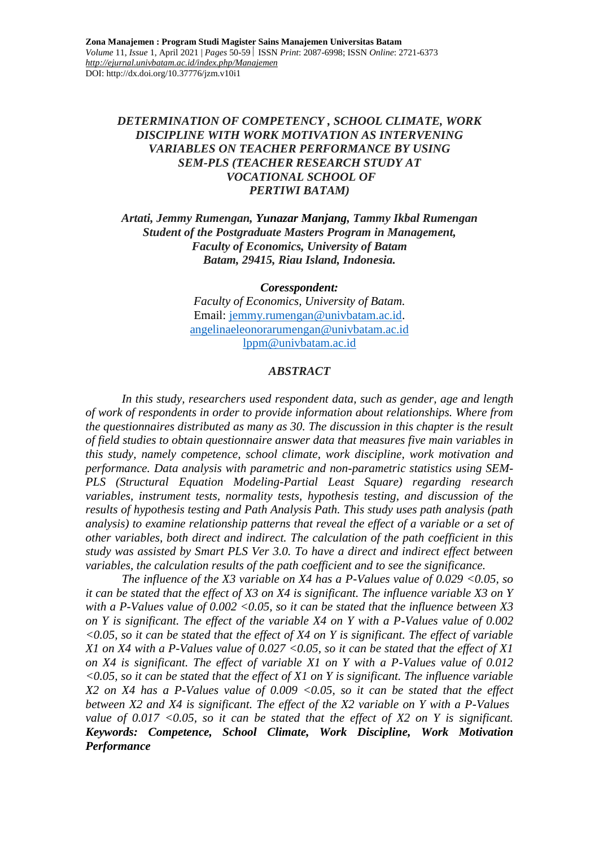## *DETERMINATION OF COMPETENCY , SCHOOL CLIMATE, WORK DISCIPLINE WITH WORK MOTIVATION AS INTERVENING VARIABLES ON TEACHER PERFORMANCE BY USING SEM-PLS (TEACHER RESEARCH STUDY AT VOCATIONAL SCHOOL OF PERTIWI BATAM)*

### *Artati, Jemmy Rumengan, Yunazar Manjang, Tammy Ikbal Rumengan Student of the Postgraduate Masters Program in Management, Faculty of Economics, University of Batam Batam, 29415, Riau Island, Indonesia.*

*Coresspondent:*

*Faculty of Economics, University of Batam.* Email: [jemmy.rumengan@univbatam.ac.id.](mailto:jemmy.rumengan@univbatam.ac.id) [angelinaeleonorarumengan@univbatam.ac.id](mailto:angelinaeleonorarumengan@univbatam.ac.id) [lppm@univbatam.ac.id](mailto:lppm@univbatam.ac.id)

#### *ABSTRACT*

*In this study, researchers used respondent data, such as gender, age and length of work of respondents in order to provide information about relationships. Where from the questionnaires distributed as many as 30. The discussion in this chapter is the result of field studies to obtain questionnaire answer data that measures five main variables in this study, namely competence, school climate, work discipline, work motivation and performance. Data analysis with parametric and non-parametric statistics using SEM-PLS (Structural Equation Modeling-Partial Least Square) regarding research variables, instrument tests, normality tests, hypothesis testing, and discussion of the results of hypothesis testing and Path Analysis Path. This study uses path analysis (path analysis) to examine relationship patterns that reveal the effect of a variable or a set of other variables, both direct and indirect. The calculation of the path coefficient in this study was assisted by Smart PLS Ver 3.0. To have a direct and indirect effect between variables, the calculation results of the path coefficient and to see the significance.*

*The influence of the X3 variable on X4 has a P-Values value of 0.029 <0.05, so it can be stated that the effect of X3 on X4 is significant. The influence variable X3 on Y with a P-Values value of 0.002 <0.05, so it can be stated that the influence between X3 on Y is significant. The effect of the variable X4 on Y with a P-Values value of 0.002 <0.05, so it can be stated that the effect of X4 on Y is significant. The effect of variable X1 on X4 with a P-Values value of 0.027 <0.05, so it can be stated that the effect of X1 on X4 is significant. The effect of variable X1 on Y with a P-Values value of 0.012 <0.05, so it can be stated that the effect of X1 on Y is significant. The influence variable X2 on X4 has a P-Values value of 0.009 <0.05, so it can be stated that the effect between X2 and X4 is significant. The effect of the X2 variable on Y with a P-Values value of 0.017 <0.05, so it can be stated that the effect of X2 on Y is significant. Keywords: Competence, School Climate, Work Discipline, Work Motivation Performance*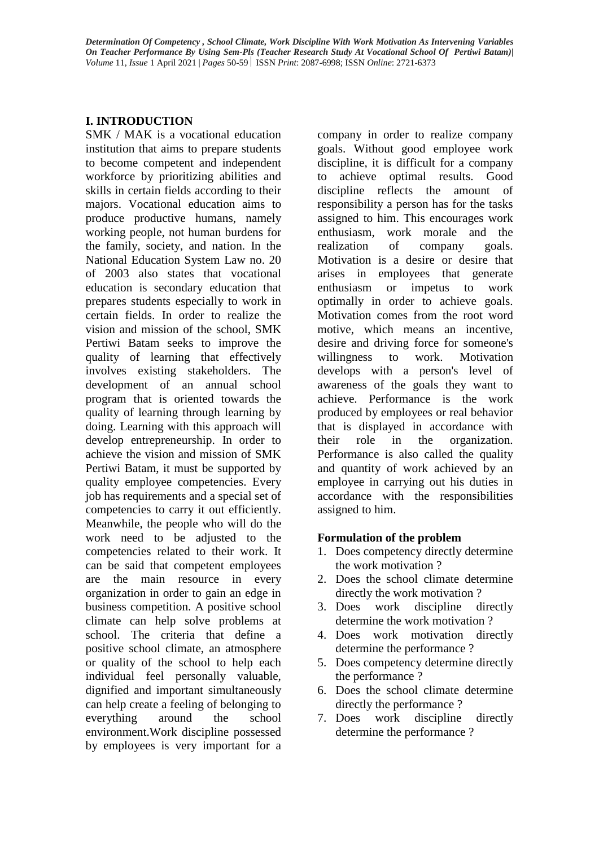# **I. INTRODUCTION**

SMK / MAK is a vocational education institution that aims to prepare students to become competent and independent workforce by prioritizing abilities and skills in certain fields according to their majors. Vocational education aims to produce productive humans, namely working people, not human burdens for the family, society, and nation. In the National Education System Law no. 20 of 2003 also states that vocational education is secondary education that prepares students especially to work in certain fields. In order to realize the vision and mission of the school, SMK Pertiwi Batam seeks to improve the quality of learning that effectively involves existing stakeholders. The development of an annual school program that is oriented towards the quality of learning through learning by doing. Learning with this approach will develop entrepreneurship. In order to achieve the vision and mission of SMK Pertiwi Batam, it must be supported by quality employee competencies. Every job has requirements and a special set of competencies to carry it out efficiently. Meanwhile, the people who will do the work need to be adjusted to the competencies related to their work. It can be said that competent employees are the main resource in every organization in order to gain an edge in business competition. A positive school climate can help solve problems at school. The criteria that define a positive school climate, an atmosphere or quality of the school to help each individual feel personally valuable, dignified and important simultaneously can help create a feeling of belonging to everything around the school environment.Work discipline possessed by employees is very important for a

company in order to realize company goals. Without good employee work discipline, it is difficult for a company to achieve optimal results. Good discipline reflects the amount of responsibility a person has for the tasks assigned to him. This encourages work enthusiasm, work morale and the realization of company goals. Motivation is a desire or desire that arises in employees that generate enthusiasm or impetus to work optimally in order to achieve goals. Motivation comes from the root word motive, which means an incentive, desire and driving force for someone's willingness to work. Motivation develops with a person's level of awareness of the goals they want to achieve. Performance is the work produced by employees or real behavior that is displayed in accordance with their role in the organization. Performance is also called the quality and quantity of work achieved by an employee in carrying out his duties in accordance with the responsibilities assigned to him.

# **Formulation of the problem**

- 1. Does competency directly determine the work motivation ?
- 2. Does the school climate determine directly the work motivation ?
- 3. Does work discipline directly determine the work motivation ?
- 4. Does work motivation directly determine the performance ?
- 5. Does competency determine directly the performance ?
- 6. Does the school climate determine directly the performance ?
- 7. Does work discipline directly determine the performance ?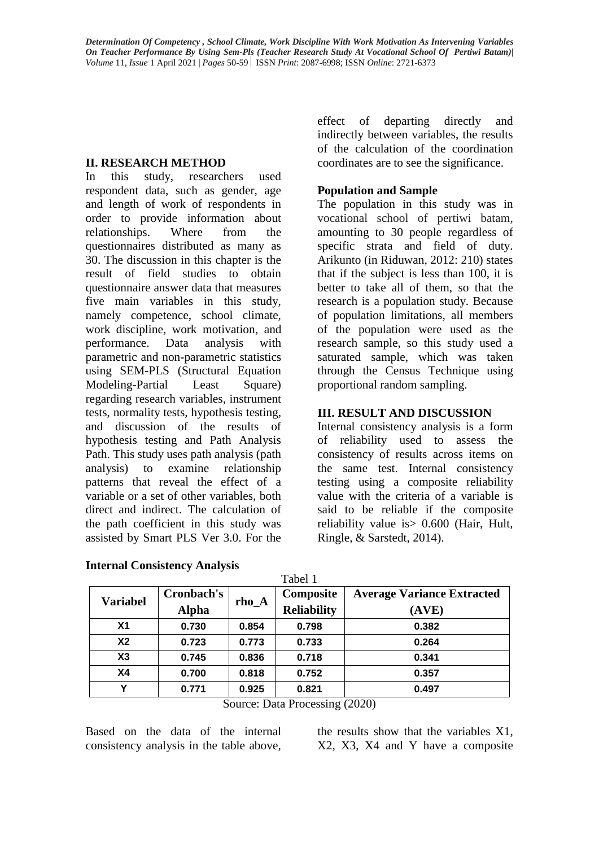#### **II. RESEARCH METHOD**

In this study, researchers used respondent data, such as gender, age and length of work of respondents in order to provide information about relationships. Where from the questionnaires distributed as many as 30. The discussion in this chapter is the result of field studies to obtain questionnaire answer data that measures five main variables in this study, namely competence, school climate, work discipline, work motivation, and performance. Data analysis with parametric and non-parametric statistics using SEM-PLS (Structural Equation Modeling-Partial Least Square) regarding research variables, instrument tests, normality tests, hypothesis testing, and discussion of the results of hypothesis testing and Path Analysis Path. This study uses path analysis (path analysis) to examine relationship patterns that reveal the effect of a variable or a set of other variables, both direct and indirect. The calculation of the path coefficient in this study was assisted by Smart PLS Ver 3.0. For the

effect of departing directly and indirectly between variables, the results of the calculation of the coordination coordinates are to see the significance.

## **Population and Sample**

The population in this study was in vocational school of pertiwi batam, amounting to 30 people regardless of specific strata and field of duty. Arikunto (in Riduwan, 2012: 210) states that if the subject is less than 100, it is better to take all of them, so that the research is a population study. Because of population limitations, all members of the population were used as the research sample, so this study used a saturated sample, which was taken through the Census Technique using proportional random sampling.

### **III. RESULT AND DISCUSSION**

Internal consistency analysis is a form of reliability used to assess the consistency of results across items on the same test. Internal consistency testing using a composite reliability value with the criteria of a variable is said to be reliable if the composite reliability value is> 0.600 (Hair, Hult, Ringle, & Sarstedt, 2014).

| Tabel 1         |              |         |                    |                                   |  |
|-----------------|--------------|---------|--------------------|-----------------------------------|--|
| <b>Variabel</b> | Cronbach's   |         | Composite          | <b>Average Variance Extracted</b> |  |
|                 | <b>Alpha</b> | $rho_A$ | <b>Reliability</b> | (AVE)                             |  |
| X <sub>1</sub>  | 0.730        | 0.854   | 0.798              | 0.382                             |  |
| X <sub>2</sub>  | 0.723        | 0.773   | 0.733              | 0.264                             |  |
| X3              | 0.745        | 0.836   | 0.718              | 0.341                             |  |
| <b>X4</b>       | 0.700        | 0.818   | 0.752              | 0.357                             |  |
| Υ               | 0.771        | 0.925   | 0.821              | 0.497                             |  |

|  | <b>Internal Consistency Analysis</b> |  |
|--|--------------------------------------|--|
|--|--------------------------------------|--|

Source: Data Processing (2020)

Based on the data of the internal consistency analysis in the table above, the results show that the variables X1, X2, X3, X4 and Y have a composite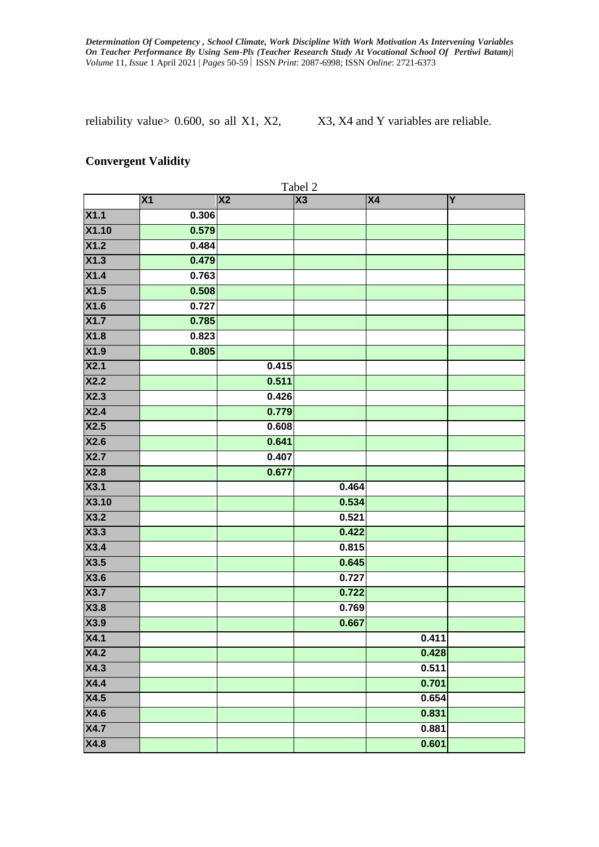reliability value >  $0.600$ , so all X1, X2, X3, X4 and Y variables are reliable.

#### **Convergent Validity**

| X <sub>1</sub><br>X <sub>2</sub><br>X3<br>X4<br>Y<br>X1.1<br>0.306<br><b>X1.10</b><br>0.579<br>X1.2<br>0.484<br>X1.3<br>0.479<br>X1.4<br>0.763<br>X1.5<br>0.508<br>0.727<br>0.785<br>0.823<br>0.805<br>0.415<br>0.511<br>0.426<br>0.779<br>0.608<br>0.641<br>0.407<br>0.677<br>0.464<br>0.534<br>0.521<br>0.422<br>0.815<br>0.645<br>0.727<br>0.722<br>0.769<br>0.667<br>0.411<br>0.428<br>0.511<br>0.701<br>0.654<br>0.831<br>0.881<br>0.601 |                   |  | Tabel 2 |  |
|-----------------------------------------------------------------------------------------------------------------------------------------------------------------------------------------------------------------------------------------------------------------------------------------------------------------------------------------------------------------------------------------------------------------------------------------------|-------------------|--|---------|--|
|                                                                                                                                                                                                                                                                                                                                                                                                                                               |                   |  |         |  |
|                                                                                                                                                                                                                                                                                                                                                                                                                                               |                   |  |         |  |
|                                                                                                                                                                                                                                                                                                                                                                                                                                               |                   |  |         |  |
|                                                                                                                                                                                                                                                                                                                                                                                                                                               |                   |  |         |  |
|                                                                                                                                                                                                                                                                                                                                                                                                                                               |                   |  |         |  |
|                                                                                                                                                                                                                                                                                                                                                                                                                                               |                   |  |         |  |
|                                                                                                                                                                                                                                                                                                                                                                                                                                               |                   |  |         |  |
|                                                                                                                                                                                                                                                                                                                                                                                                                                               | X1.6              |  |         |  |
|                                                                                                                                                                                                                                                                                                                                                                                                                                               | X1.7              |  |         |  |
|                                                                                                                                                                                                                                                                                                                                                                                                                                               | X1.8              |  |         |  |
|                                                                                                                                                                                                                                                                                                                                                                                                                                               | X1.9              |  |         |  |
|                                                                                                                                                                                                                                                                                                                                                                                                                                               | X2.1              |  |         |  |
|                                                                                                                                                                                                                                                                                                                                                                                                                                               | X2.2              |  |         |  |
|                                                                                                                                                                                                                                                                                                                                                                                                                                               | X2.3              |  |         |  |
|                                                                                                                                                                                                                                                                                                                                                                                                                                               | X2.4              |  |         |  |
|                                                                                                                                                                                                                                                                                                                                                                                                                                               | X2.5              |  |         |  |
|                                                                                                                                                                                                                                                                                                                                                                                                                                               | X2.6              |  |         |  |
|                                                                                                                                                                                                                                                                                                                                                                                                                                               | X2.7              |  |         |  |
|                                                                                                                                                                                                                                                                                                                                                                                                                                               | X2.8              |  |         |  |
|                                                                                                                                                                                                                                                                                                                                                                                                                                               | X3.1              |  |         |  |
|                                                                                                                                                                                                                                                                                                                                                                                                                                               | X3.10             |  |         |  |
|                                                                                                                                                                                                                                                                                                                                                                                                                                               | X3.2              |  |         |  |
|                                                                                                                                                                                                                                                                                                                                                                                                                                               | X3.3              |  |         |  |
|                                                                                                                                                                                                                                                                                                                                                                                                                                               | X3.4              |  |         |  |
|                                                                                                                                                                                                                                                                                                                                                                                                                                               | X3.5              |  |         |  |
|                                                                                                                                                                                                                                                                                                                                                                                                                                               | X3.6              |  |         |  |
|                                                                                                                                                                                                                                                                                                                                                                                                                                               | X3.7              |  |         |  |
|                                                                                                                                                                                                                                                                                                                                                                                                                                               | X3.8              |  |         |  |
|                                                                                                                                                                                                                                                                                                                                                                                                                                               | X3.9              |  |         |  |
|                                                                                                                                                                                                                                                                                                                                                                                                                                               | X4.1              |  |         |  |
|                                                                                                                                                                                                                                                                                                                                                                                                                                               | X4.2              |  |         |  |
|                                                                                                                                                                                                                                                                                                                                                                                                                                               | X4.3              |  |         |  |
|                                                                                                                                                                                                                                                                                                                                                                                                                                               | X4.4              |  |         |  |
|                                                                                                                                                                                                                                                                                                                                                                                                                                               | $\overline{X4.5}$ |  |         |  |
|                                                                                                                                                                                                                                                                                                                                                                                                                                               | $\overline{X4.6}$ |  |         |  |
|                                                                                                                                                                                                                                                                                                                                                                                                                                               | $\overline{X4.7}$ |  |         |  |
|                                                                                                                                                                                                                                                                                                                                                                                                                                               | X4.8              |  |         |  |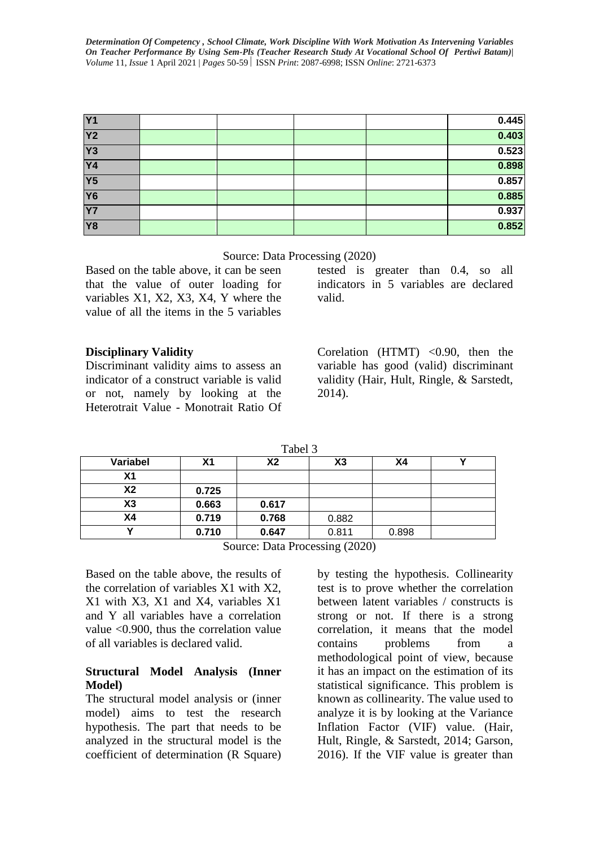| <b>Y1</b>      |  |  | 0.445 |
|----------------|--|--|-------|
| <b>Y2</b>      |  |  | 0.403 |
| Y <sub>3</sub> |  |  | 0.523 |
| <b>Y4</b>      |  |  | 0.898 |
| <b>Y5</b>      |  |  | 0.857 |
| <b>Y6</b>      |  |  | 0.885 |
| <b>Y7</b>      |  |  | 0.937 |
| <b>Y8</b>      |  |  | 0.852 |

Source: Data Processing (2020)

Based on the table above, it can be seen that the value of outer loading for variables X1, X2, X3, X4, Y where the value of all the items in the 5 variables

tested is greater than 0.4, so all indicators in 5 variables are declared valid.

### **Disciplinary Validity**

Discriminant validity aims to assess an indicator of a construct variable is valid or not, namely by looking at the Heterotrait Value - Monotrait Ratio Of Corelation  $(HTML) < 0.90$ , then the variable has good (valid) discriminant validity (Hair, Hult, Ringle, & Sarstedt, 2014).

| aner |
|------|
|------|

| Variabel | Χ1    | Х2    | X3    | Χ4    |  |
|----------|-------|-------|-------|-------|--|
| Χ1       |       |       |       |       |  |
| X2       | 0.725 |       |       |       |  |
| X3       | 0.663 | 0.617 |       |       |  |
| Χ4       | 0.719 | 0.768 | 0.882 |       |  |
|          | 0.710 | 0.647 | 0.811 | 0.898 |  |

Source: Data Processing (2020)

Based on the table above, the results of the correlation of variables X1 with X2, X1 with X3, X1 and X4, variables X1 and Y all variables have a correlation value <0.900, thus the correlation value of all variables is declared valid.

#### **Structural Model Analysis (Inner Model)**

The structural model analysis or (inner model) aims to test the research hypothesis. The part that needs to be analyzed in the structural model is the coefficient of determination (R Square) by testing the hypothesis. Collinearity test is to prove whether the correlation between latent variables / constructs is strong or not. If there is a strong correlation, it means that the model contains problems from a methodological point of view, because it has an impact on the estimation of its statistical significance. This problem is known as collinearity. The value used to analyze it is by looking at the Variance Inflation Factor (VIF) value. (Hair, Hult, Ringle, & Sarstedt, 2014; Garson, 2016). If the VIF value is greater than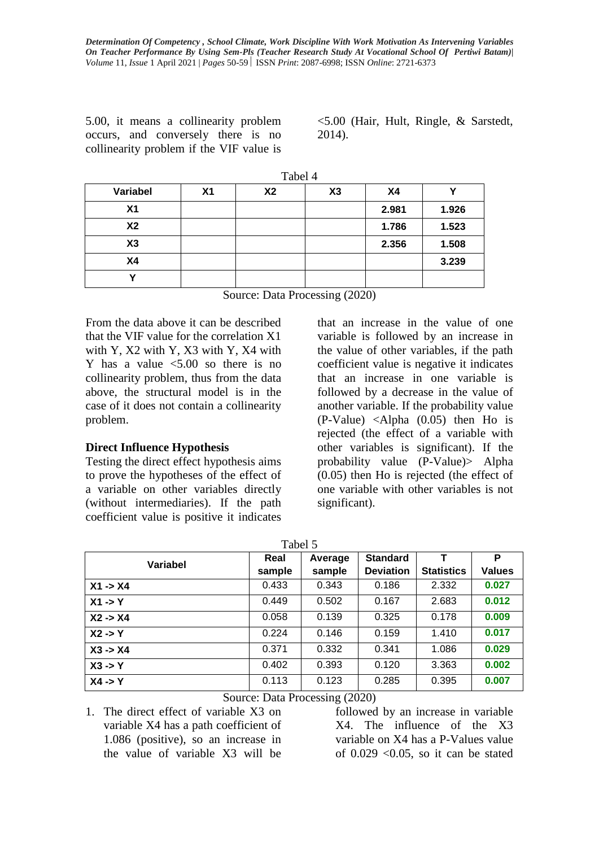5.00, it means a collinearity problem occurs, and conversely there is no collinearity problem if the VIF value is

<5.00 (Hair, Hult, Ringle, & Sarstedt, 2014).

|                | Tabel 4        |                |    |           |       |  |
|----------------|----------------|----------------|----|-----------|-------|--|
| Variabel       | X <sub>1</sub> | X <sub>2</sub> | X3 | <b>X4</b> |       |  |
| X <sub>1</sub> |                |                |    | 2.981     | 1.926 |  |
| <b>X2</b>      |                |                |    | 1.786     | 1.523 |  |
| X3             |                |                |    | 2.356     | 1.508 |  |
| <b>X4</b>      |                |                |    |           | 3.239 |  |
|                |                |                |    |           |       |  |

Source: Data Processing (2020)

From the data above it can be described that the VIF value for the correlation X1 with Y, X2 with Y, X3 with Y, X4 with Y has a value  $\leq 5.00$  so there is no collinearity problem, thus from the data above, the structural model is in the case of it does not contain a collinearity problem.

### **Direct Influence Hypothesis**

Testing the direct effect hypothesis aims to prove the hypotheses of the effect of a variable on other variables directly (without intermediaries). If the path coefficient value is positive it indicates

that an increase in the value of one variable is followed by an increase in the value of other variables, if the path coefficient value is negative it indicates that an increase in one variable is followed by a decrease in the value of another variable. If the probability value (P-Value) <Alpha (0.05) then Ho is rejected (the effect of a variable with other variables is significant). If the probability value (P-Value)> Alpha (0.05) then Ho is rejected (the effect of one variable with other variables is not significant).

| Variabel           | Real   | Average | <b>Standard</b>  |                   | Р             |
|--------------------|--------|---------|------------------|-------------------|---------------|
|                    | sample | sample  | <b>Deviation</b> | <b>Statistics</b> | <b>Values</b> |
| $X1 - > X4$        | 0.433  | 0.343   | 0.186            | 2.332             | 0.027         |
| $X1 - Y$           | 0.449  | 0.502   | 0.167            | 2.683             | 0.012         |
| $X2 - > X4$        | 0.058  | 0.139   | 0.325            | 0.178             | 0.009         |
| $X2 \rightarrow Y$ | 0.224  | 0.146   | 0.159            | 1.410             | 0.017         |
| $X3 - > X4$        | 0.371  | 0.332   | 0.341            | 1.086             | 0.029         |
| $X3 \rightarrow Y$ | 0.402  | 0.393   | 0.120            | 3.363             | 0.002         |
| $X4 \rightarrow Y$ | 0.113  | 0.123   | 0.285            | 0.395             | 0.007         |

 $Tablea15$ 

Source: Data Processing (2020)

1. The direct effect of variable X3 on variable X4 has a path coefficient of 1.086 (positive), so an increase in the value of variable X3 will be

followed by an increase in variable X4. The influence of the X3 variable on X4 has a P-Values value of  $0.029$  < 0.05, so it can be stated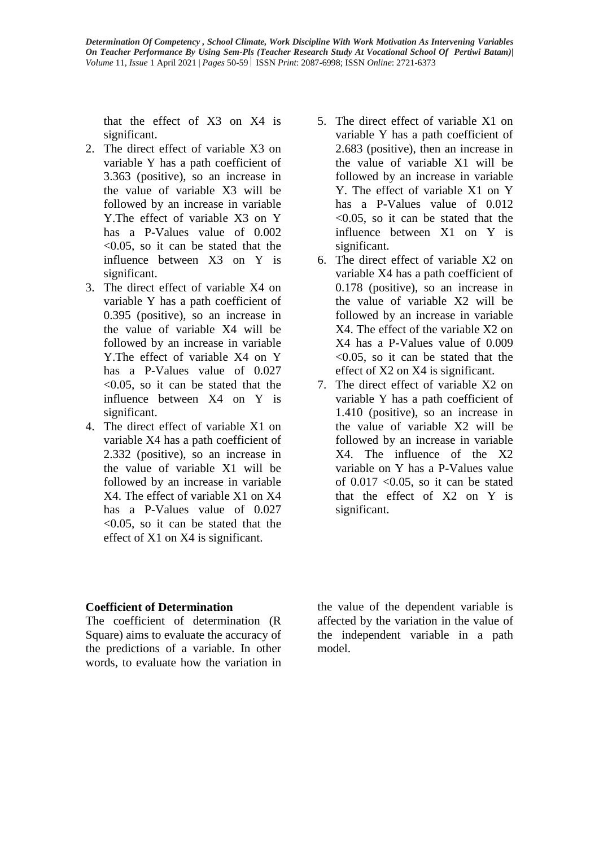that the effect of X3 on X4 is significant.

- 2. The direct effect of variable X3 on variable Y has a path coefficient of 3.363 (positive), so an increase in the value of variable X3 will be followed by an increase in variable Y.The effect of variable X3 on Y has a P-Values value of  $0.002$ <0.05, so it can be stated that the influence between X3 on Y is significant.
- 3. The direct effect of variable X4 on variable Y has a path coefficient of 0.395 (positive), so an increase in the value of variable X4 will be followed by an increase in variable Y.The effect of variable X4 on Y has a P-Values value of 0.027  $\leq 0.05$ , so it can be stated that the influence between X4 on Y is significant.
- 4. The direct effect of variable X1 on variable X4 has a path coefficient of 2.332 (positive), so an increase in the value of variable X1 will be followed by an increase in variable X4. The effect of variable X1 on X4 has a P-Values value of  $0.027$ <0.05, so it can be stated that the effect of X1 on X4 is significant.
- 5. The direct effect of variable X1 on variable Y has a path coefficient of 2.683 (positive), then an increase in the value of variable X1 will be followed by an increase in variable Y. The effect of variable X1 on Y has a P-Values value of  $0.012$  $\leq 0.05$ , so it can be stated that the influence between X1 on Y is significant.
- 6. The direct effect of variable X2 on variable X4 has a path coefficient of 0.178 (positive), so an increase in the value of variable X2 will be followed by an increase in variable X4. The effect of the variable X2 on X4 has a P-Values value of 0.009 <0.05, so it can be stated that the effect of X2 on X4 is significant.
- 7. The direct effect of variable X2 on variable Y has a path coefficient of 1.410 (positive), so an increase in the value of variable X2 will be followed by an increase in variable X4. The influence of the X2 variable on Y has a P-Values value of  $0.017$  <  $0.05$ , so it can be stated that the effect of X2 on Y is significant.

# **Coefficient of Determination**

The coefficient of determination (R Square) aims to evaluate the accuracy of the predictions of a variable. In other words, to evaluate how the variation in the value of the dependent variable is affected by the variation in the value of the independent variable in a path model.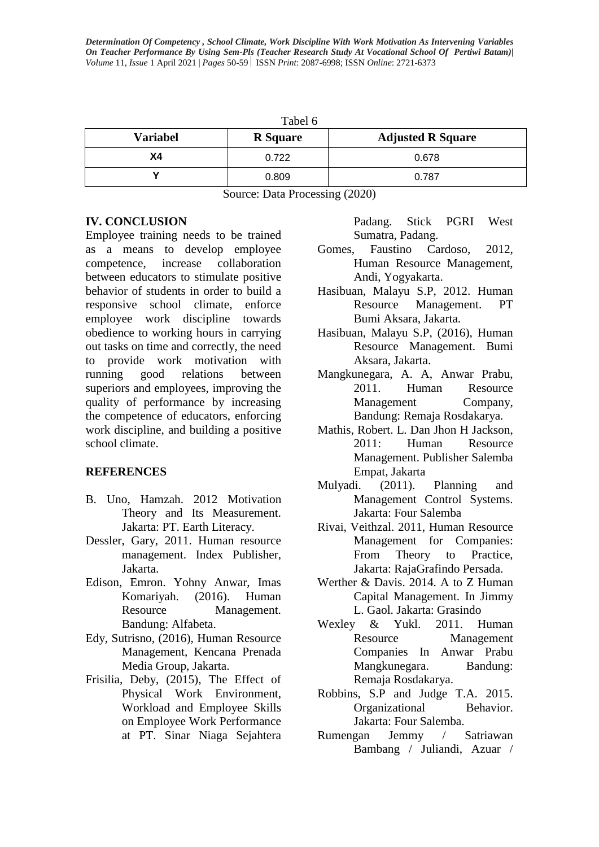| Tabel 6         |                 |                          |  |  |  |
|-----------------|-----------------|--------------------------|--|--|--|
| <b>Variabel</b> | <b>R</b> Square | <b>Adjusted R Square</b> |  |  |  |
| Χ4              | 0.722           | 0.678                    |  |  |  |
|                 | 0.809           | 0.787                    |  |  |  |

Source: Data Processing (2020)

### **IV. CONCLUSION**

Employee training needs to be trained as a means to develop employee competence, increase collaboration between educators to stimulate positive behavior of students in order to build a responsive school climate, enforce employee work discipline towards obedience to working hours in carrying out tasks on time and correctly, the need to provide work motivation with running good relations between superiors and employees, improving the quality of performance by increasing the competence of educators, enforcing work discipline, and building a positive school climate.

# **REFERENCES**

- B. Uno, Hamzah. 2012 Motivation Theory and Its Measurement. Jakarta: PT. Earth Literacy.
- Dessler, Gary, 2011. Human resource management. Index Publisher, Jakarta.
- Edison, Emron. Yohny Anwar, Imas Komariyah. (2016). Human Resource Management. Bandung: Alfabeta.
- Edy, Sutrisno, (2016), Human Resource Management, Kencana Prenada Media Group, Jakarta.
- Frisilia, Deby, (2015), The Effect of Physical Work Environment, Workload and Employee Skills on Employee Work Performance at PT. Sinar Niaga Sejahtera

Padang. Stick PGRI West Sumatra, Padang.

- Gomes, Faustino Cardoso, 2012, Human Resource Management, Andi, Yogyakarta.
- Hasibuan, Malayu S.P, 2012. Human Resource Management. PT Bumi Aksara, Jakarta.
- Hasibuan, Malayu S.P, (2016), Human Resource Management. Bumi Aksara, Jakarta.
- Mangkunegara, A. A, Anwar Prabu, 2011. Human Resource Management Company, Bandung: Remaja Rosdakarya.
- Mathis, Robert. L. Dan Jhon H Jackson, 2011: Human Resource Management. Publisher Salemba Empat, Jakarta
- Mulyadi. (2011). Planning and Management Control Systems. Jakarta: Four Salemba
- Rivai, Veithzal. 2011, Human Resource Management for Companies: From Theory to Practice, Jakarta: RajaGrafindo Persada.
- Werther & Davis. 2014. A to Z Human Capital Management. In Jimmy L. Gaol. Jakarta: Grasindo
- Wexley & Yukl. 2011. Human Resource Management Companies In Anwar Prabu Mangkunegara. Bandung: Remaja Rosdakarya.
- Robbins, S.P and Judge T.A. 2015. Organizational Behavior. Jakarta: Four Salemba.
- Rumengan Jemmy / Satriawan Bambang / Juliandi, Azuar /